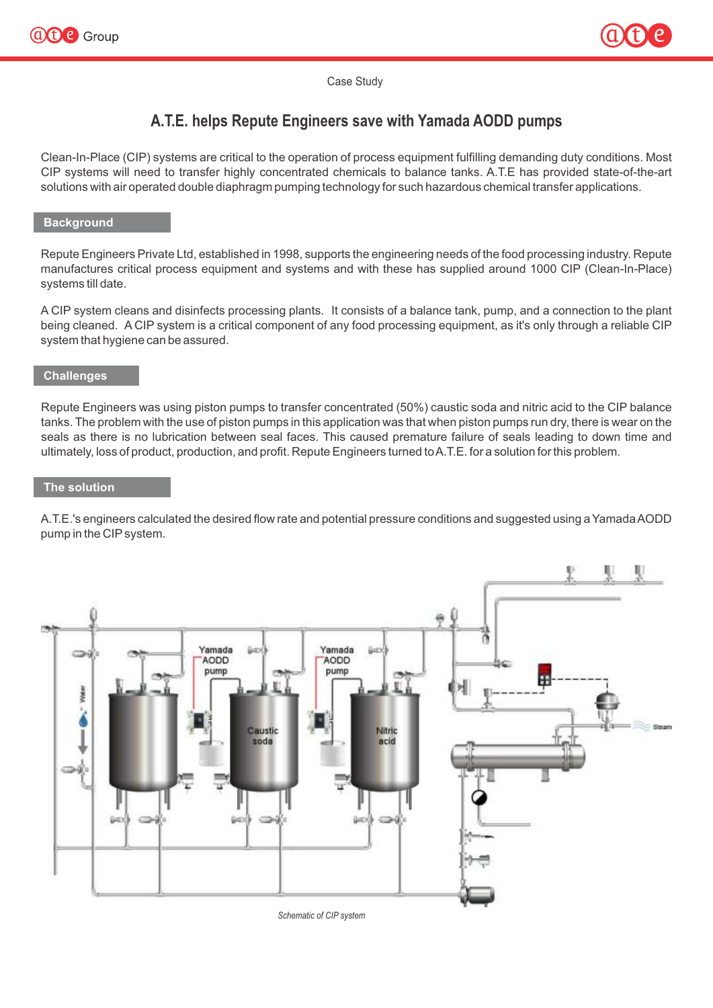



### Case Study

# **A.T.E. helps Repute Engineers save with Yamada AODD pumps**

Clean-In-Place (CIP) systems are critical to the operation of process equipment fulfilling demanding duty conditions. Most CIP systems will need to transfer highly concentrated chemicals to balance tanks. A.T.E has provided state-of-the-art solutions with air operated double diaphragm pumping technology for such hazardous chemical transfer applications.

### **Background**

Repute Engineers Private Ltd, established in 1998, supports the engineering needs of the food processing industry. Repute manufactures critical process equipment and systems and with these has supplied around 1000 CIP (Clean-In-Place) systems till date.

A CIP system cleans and disinfects processing plants. It consists of a balance tank, pump, and a connection to the plant being cleaned. A CIP system is a critical component of any food processing equipment, as it's only through a reliable CIP system that hygiene can be assured.

## **Challenges**

Repute Engineers was using piston pumps to transfer concentrated (50%) caustic soda and nitric acid to the CIP balance tanks. The problem with the use of piston pumps in this application was that when piston pumps run dry, there is wear on the seals as there is no lubrication between seal faces. This caused premature failure of seals leading to down time and ultimately, loss of product, production, and profit. Repute Engineers turned to A.T.E. for a solution for this problem.

#### **The solution**

A.T.E.'s engineers calculated the desired flow rate and potential pressure conditions and suggested using a Yamada AODD pump in the CIPsystem.



*Schematic of CIP system*